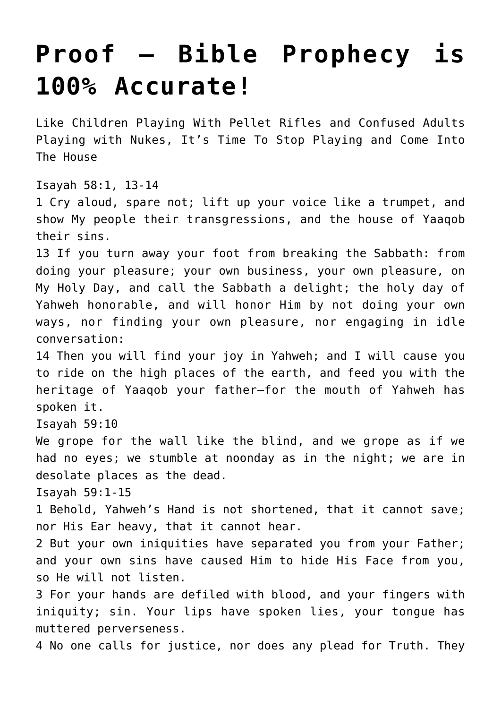## **[Proof – Bible Prophecy is](https://yahwehsbranch.com/proof-bible-prophecy-is-100-accurate/) [100% Accurate!](https://yahwehsbranch.com/proof-bible-prophecy-is-100-accurate/)**

Like Children Playing With Pellet Rifles and Confused Adults Playing with Nukes, It's Time To Stop Playing and Come Into The House

Isayah 58:1, 13-14 1 Cry aloud, spare not; lift up your voice like a trumpet, and show My people their transgressions, and the house of Yaaqob their sins.

13 If you turn away your foot from breaking the Sabbath: from doing your pleasure; your own business, your own pleasure, on My Holy Day, and call the Sabbath a delight; the holy day of Yahweh honorable, and will honor Him by not doing your own ways, nor finding your own pleasure, nor engaging in idle conversation:

14 Then you will find your joy in Yahweh; and I will cause you to ride on the high places of the earth, and feed you with the heritage of Yaaqob your father—for the mouth of Yahweh has spoken it.

Isayah 59:10

We grope for the wall like the blind, and we grope as if we had no eyes; we stumble at noonday as in the night; we are in desolate places as the dead.

Isayah 59:1-15

1 Behold, Yahweh's Hand is not shortened, that it cannot save; nor His Ear heavy, that it cannot hear.

2 But your own iniquities have separated you from your Father; and your own sins have caused Him to hide His Face from you, so He will not listen.

3 For your hands are defiled with blood, and your fingers with iniquity; sin. Your lips have spoken lies, your tongue has muttered perverseness.

4 No one calls for justice, nor does any plead for Truth. They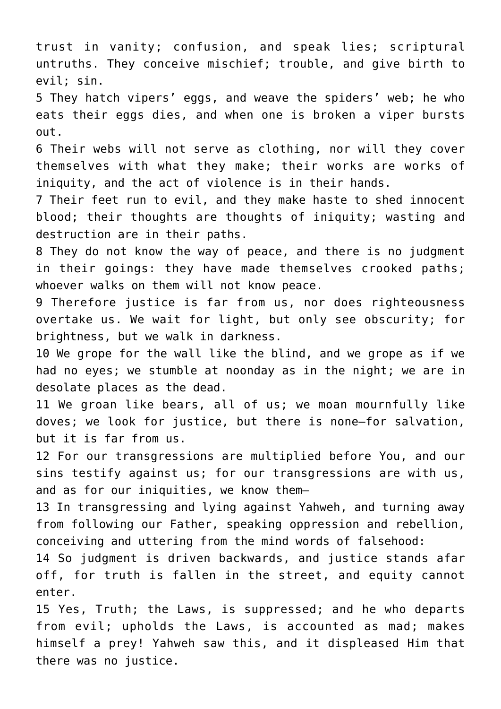trust in vanity; confusion, and speak lies; scriptural untruths. They conceive mischief; trouble, and give birth to evil; sin.

5 They hatch vipers' eggs, and weave the spiders' web; he who eats their eggs dies, and when one is broken a viper bursts out.

6 Their webs will not serve as clothing, nor will they cover themselves with what they make; their works are works of iniquity, and the act of violence is in their hands.

7 Their feet run to evil, and they make haste to shed innocent blood; their thoughts are thoughts of iniquity; wasting and destruction are in their paths.

8 They do not know the way of peace, and there is no judgment in their goings: they have made themselves crooked paths; whoever walks on them will not know peace.

9 Therefore justice is far from us, nor does righteousness overtake us. We wait for light, but only see obscurity; for brightness, but we walk in darkness.

10 We grope for the wall like the blind, and we grope as if we had no eyes; we stumble at noonday as in the night; we are in desolate places as the dead.

11 We groan like bears, all of us; we moan mournfully like doves; we look for justice, but there is none—for salvation, but it is far from us.

12 For our transgressions are multiplied before You, and our sins testify against us; for our transgressions are with us, and as for our iniquities, we know them—

13 In transgressing and lying against Yahweh, and turning away from following our Father, speaking oppression and rebellion, conceiving and uttering from the mind words of falsehood:

14 So judgment is driven backwards, and justice stands afar off, for truth is fallen in the street, and equity cannot enter.

15 Yes, Truth; the Laws, is suppressed; and he who departs from evil; upholds the Laws, is accounted as mad; makes himself a prey! Yahweh saw this, and it displeased Him that there was no justice.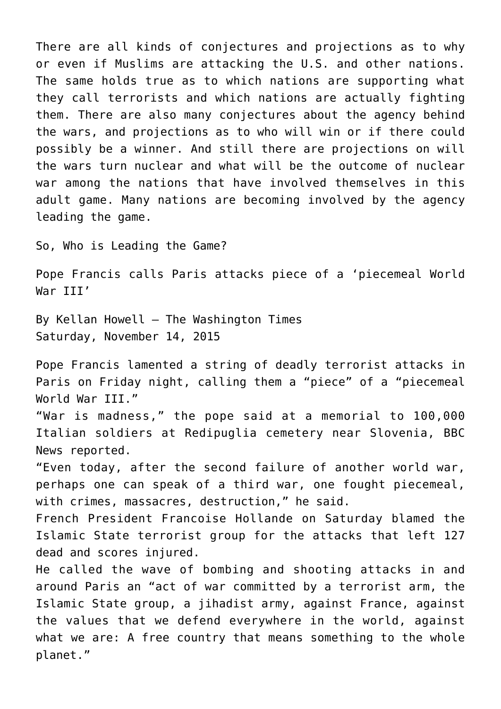There are all kinds of conjectures and projections as to why or even if Muslims are attacking the U.S. and other nations. The same holds true as to which nations are supporting what they call terrorists and which nations are actually fighting them. There are also many conjectures about the agency behind the wars, and projections as to who will win or if there could possibly be a winner. And still there are projections on will the wars turn nuclear and what will be the outcome of nuclear war among the nations that have involved themselves in this adult game. Many nations are becoming involved by the agency leading the game.

So, Who is Leading the Game?

Pope Francis calls Paris attacks piece of a 'piecemeal World War TTT'

By Kellan Howell – The Washington Times Saturday, November 14, 2015

Pope Francis lamented a string of deadly terrorist attacks in Paris on Friday night, calling them a "piece" of a "piecemeal World War III."

"War is madness," the pope said at a memorial to 100,000 Italian soldiers at Redipuglia cemetery near Slovenia, BBC News reported.

"Even today, after the second failure of another world war, perhaps one can speak of a third war, one fought piecemeal, with crimes, massacres, destruction," he said.

French President Francoise Hollande on Saturday blamed the Islamic State terrorist group for the attacks that left 127 dead and scores injured.

He called the wave of bombing and shooting attacks in and around Paris an "act of war committed by a terrorist arm, the Islamic State group, a jihadist army, against France, against the values that we defend everywhere in the world, against what we are: A free country that means something to the whole planet."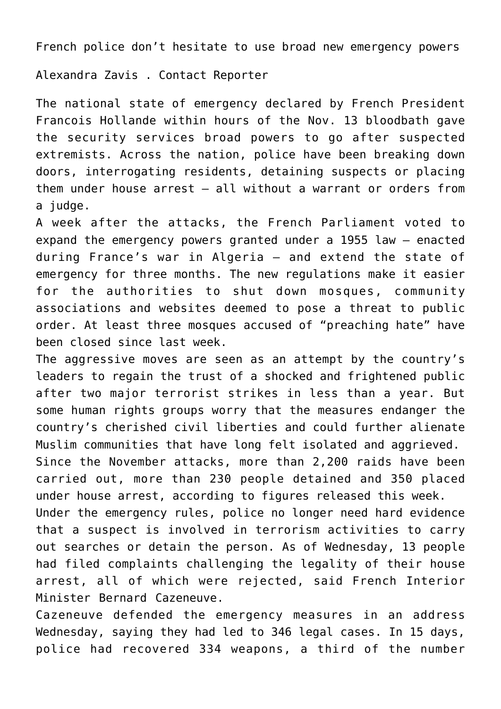French police don't hesitate to use broad new emergency powers

Alexandra Zavis . Contact Reporter

The national state of emergency declared by French President Francois Hollande within hours of the Nov. 13 bloodbath gave the security services broad powers to go after suspected extremists. Across the nation, police have been breaking down doors, interrogating residents, detaining suspects or placing them under house arrest — all without a warrant or orders from a judge.

A week after the attacks, the French Parliament voted to expand the emergency powers granted under a 1955 law — enacted during France's war in Algeria — and extend the state of emergency for three months. The new regulations make it easier for the authorities to shut down mosques, community associations and websites deemed to pose a threat to public order. At least three mosques accused of "preaching hate" have been closed since last week.

The aggressive moves are seen as an attempt by the country's leaders to regain the trust of a shocked and frightened public after two major terrorist strikes in less than a year. But some human rights groups worry that the measures endanger the country's cherished civil liberties and could further alienate Muslim communities that have long felt isolated and aggrieved. Since the November attacks, more than 2,200 raids have been

carried out, more than 230 people detained and 350 placed under house arrest, according to figures released this week.

Under the emergency rules, police no longer need hard evidence that a suspect is involved in terrorism activities to carry out searches or detain the person. As of Wednesday, 13 people had filed complaints challenging the legality of their house arrest, all of which were rejected, said French Interior Minister Bernard Cazeneuve.

Cazeneuve defended the emergency measures in an address Wednesday, saying they had led to 346 legal cases. In 15 days, police had recovered 334 weapons, a third of the number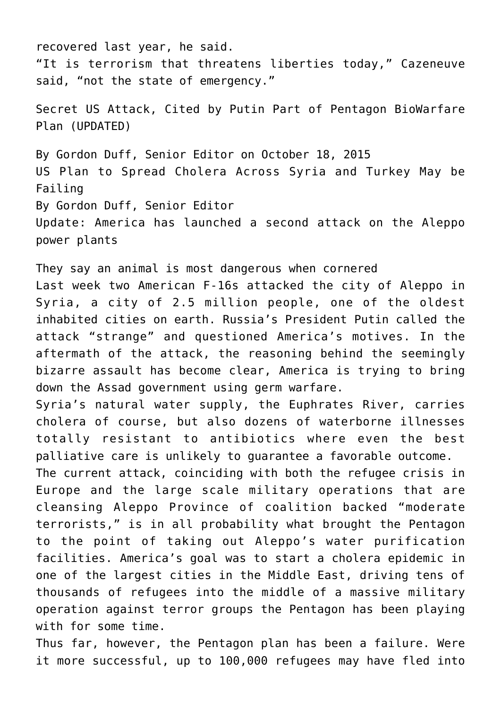recovered last year, he said. "It is terrorism that threatens liberties today," Cazeneuve said, "not the state of emergency."

Secret US Attack, Cited by Putin Part of Pentagon BioWarfare Plan (UPDATED)

By Gordon Duff, Senior Editor on October 18, 2015 US Plan to Spread Cholera Across Syria and Turkey May be Failing By Gordon Duff, Senior Editor Update: America has launched a second attack on the Aleppo power plants

They say an animal is most dangerous when cornered Last week two American F-16s attacked the city of Aleppo in Syria, a city of 2.5 million people, one of the oldest inhabited cities on earth. Russia's President Putin called the attack "strange" and questioned America's motives. In the aftermath of the attack, the reasoning behind the seemingly bizarre assault has become clear, America is trying to bring down the Assad government using germ warfare.

Syria's natural water supply, the Euphrates River, carries cholera of course, but also dozens of waterborne illnesses totally resistant to antibiotics where even the best palliative care is unlikely to guarantee a favorable outcome.

The current attack, coinciding with both the refugee crisis in Europe and the large scale military operations that are cleansing Aleppo Province of coalition backed "moderate terrorists," is in all probability what brought the Pentagon to the point of taking out Aleppo's water purification facilities. America's goal was to start a cholera epidemic in one of the largest cities in the Middle East, driving tens of thousands of refugees into the middle of a massive military operation against terror groups the Pentagon has been playing with for some time.

Thus far, however, the Pentagon plan has been a failure. Were it more successful, up to 100,000 refugees may have fled into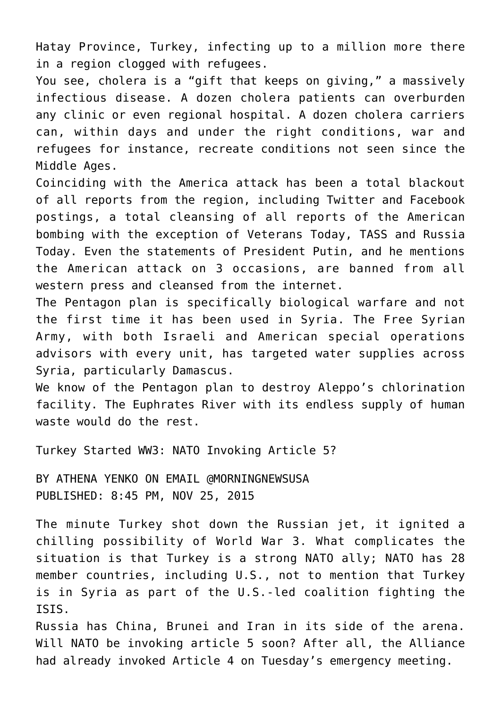Hatay Province, Turkey, infecting up to a million more there in a region clogged with refugees.

You see, cholera is a "gift that keeps on giving," a massively infectious disease. A dozen cholera patients can overburden any clinic or even regional hospital. A dozen cholera carriers can, within days and under the right conditions, war and refugees for instance, recreate conditions not seen since the Middle Ages.

Coinciding with the America attack has been a total blackout of all reports from the region, including Twitter and Facebook postings, a total cleansing of all reports of the American bombing with the exception of Veterans Today, TASS and Russia Today. Even the statements of President Putin, and he mentions the American attack on 3 occasions, are banned from all western press and cleansed from the internet.

The Pentagon plan is specifically biological warfare and not the first time it has been used in Syria. The Free Syrian Army, with both Israeli and American special operations advisors with every unit, has targeted water supplies across Syria, particularly Damascus.

We know of the Pentagon plan to destroy Aleppo's chlorination facility. The Euphrates River with its endless supply of human waste would do the rest.

Turkey Started WW3: NATO Invoking Article 5?

BY ATHENA YENKO ON EMAIL @MORNINGNEWSUSA PUBLISHED: 8:45 PM, NOV 25, 2015

The minute Turkey shot down the Russian jet, it ignited a chilling possibility of World War 3. What complicates the situation is that Turkey is a strong NATO ally; NATO has 28 member countries, including U.S., not to mention that Turkey is in Syria as part of the U.S.-led coalition fighting the ISIS.

Russia has China, Brunei and Iran in its side of the arena. Will NATO be invoking article 5 soon? After all, the Alliance had already invoked Article 4 on Tuesday's emergency meeting.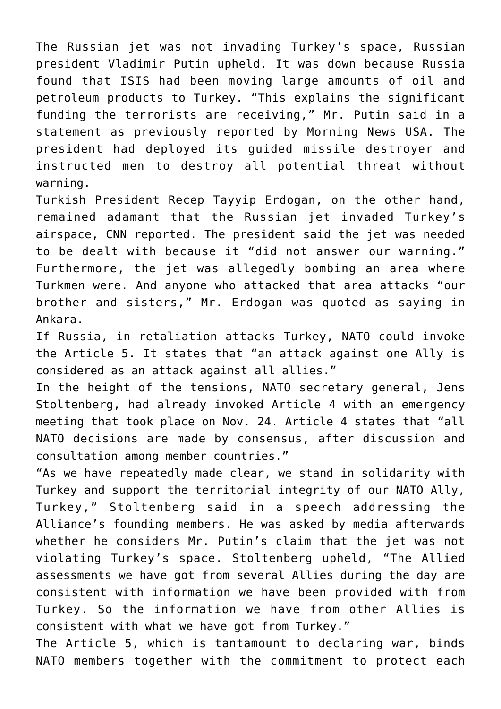The Russian jet was not invading Turkey's space, Russian president Vladimir Putin upheld. It was down because Russia found that ISIS had been moving large amounts of oil and petroleum products to Turkey. "This explains the significant funding the terrorists are receiving," Mr. Putin said in a statement as previously reported by Morning News USA. The president had deployed its guided missile destroyer and instructed men to destroy all potential threat without warning.

Turkish President Recep Tayyip Erdogan, on the other hand, remained adamant that the Russian jet invaded Turkey's airspace, CNN reported. The president said the jet was needed to be dealt with because it "did not answer our warning." Furthermore, the jet was allegedly bombing an area where Turkmen were. And anyone who attacked that area attacks "our brother and sisters," Mr. Erdogan was quoted as saying in Ankara.

If Russia, in retaliation attacks Turkey, NATO could invoke the Article 5. It states that "an attack against one Ally is considered as an attack against all allies."

In the height of the tensions, NATO secretary general, Jens Stoltenberg, had already invoked Article 4 with an emergency meeting that took place on Nov. 24. Article 4 states that "all NATO decisions are made by consensus, after discussion and consultation among member countries."

"As we have repeatedly made clear, we stand in solidarity with Turkey and support the territorial integrity of our NATO Ally, Turkey," Stoltenberg said in a speech addressing the Alliance's founding members. He was asked by media afterwards whether he considers Mr. Putin's claim that the jet was not violating Turkey's space. Stoltenberg upheld, "The Allied assessments we have got from several Allies during the day are consistent with information we have been provided with from Turkey. So the information we have from other Allies is consistent with what we have got from Turkey."

The Article 5, which is tantamount to declaring war, binds NATO members together with the commitment to protect each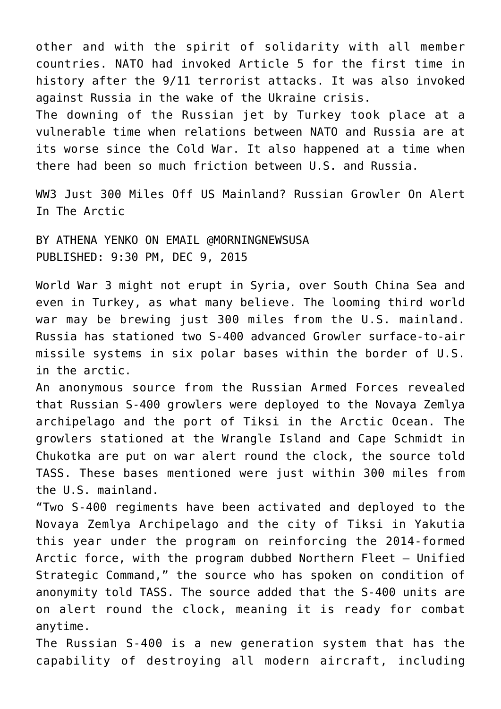other and with the spirit of solidarity with all member countries. NATO had invoked Article 5 for the first time in history after the 9/11 terrorist attacks. It was also invoked against Russia in the wake of the Ukraine crisis.

The downing of the Russian jet by Turkey took place at a vulnerable time when relations between NATO and Russia are at its worse since the Cold War. It also happened at a time when there had been so much friction between U.S. and Russia.

WW3 Just 300 Miles Off US Mainland? Russian Growler On Alert In The Arctic

BY ATHENA YENKO ON EMAIL @MORNINGNEWSUSA PUBLISHED: 9:30 PM, DEC 9, 2015

World War 3 might not erupt in Syria, over South China Sea and even in Turkey, as what many believe. The looming third world war may be brewing just 300 miles from the U.S. mainland. Russia has stationed two S-400 advanced Growler surface-to-air missile systems in six polar bases within the border of U.S. in the arctic.

An anonymous source from the Russian Armed Forces revealed that Russian S-400 growlers were deployed to the Novaya Zemlya archipelago and the port of Tiksi in the Arctic Ocean. The growlers stationed at the Wrangle Island and Cape Schmidt in Chukotka are put on war alert round the clock, the source told TASS. These bases mentioned were just within 300 miles from the U.S. mainland.

"Two S-400 regiments have been activated and deployed to the Novaya Zemlya Archipelago and the city of Tiksi in Yakutia this year under the program on reinforcing the 2014-formed Arctic force, with the program dubbed Northern Fleet – Unified Strategic Command," the source who has spoken on condition of anonymity told TASS. The source added that the S-400 units are on alert round the clock, meaning it is ready for combat anytime.

The Russian S-400 is a new generation system that has the capability of destroying all modern aircraft, including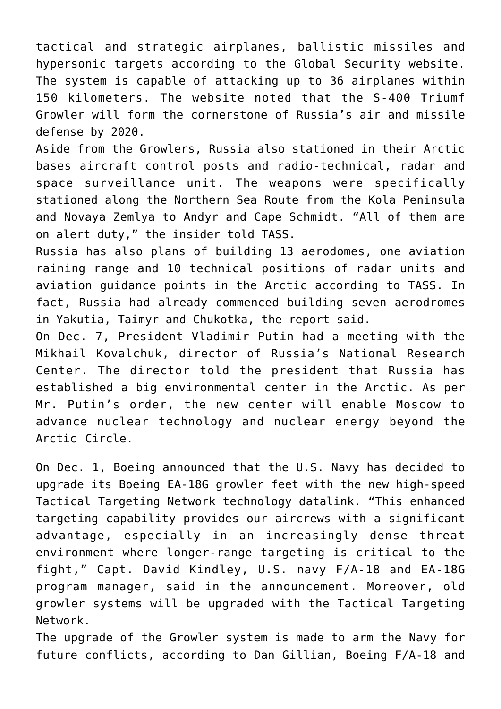tactical and strategic airplanes, ballistic missiles and hypersonic targets according to the Global Security website. The system is capable of attacking up to 36 airplanes within 150 kilometers. The website noted that the S-400 Triumf Growler will form the cornerstone of Russia's air and missile defense by 2020.

Aside from the Growlers, Russia also stationed in their Arctic bases aircraft control posts and radio-technical, radar and space surveillance unit. The weapons were specifically stationed along the Northern Sea Route from the Kola Peninsula and Novaya Zemlya to Andyr and Cape Schmidt. "All of them are on alert duty," the insider told TASS.

Russia has also plans of building 13 aerodomes, one aviation raining range and 10 technical positions of radar units and aviation guidance points in the Arctic according to TASS. In fact, Russia had already commenced building seven aerodromes in Yakutia, Taimyr and Chukotka, the report said.

On Dec. 7, President Vladimir Putin had a meeting with the Mikhail Kovalchuk, director of Russia's National Research Center. The director told the president that Russia has established a big environmental center in the Arctic. As per Mr. Putin's order, the new center will enable Moscow to advance nuclear technology and nuclear energy beyond the Arctic Circle.

On Dec. 1, Boeing announced that the U.S. Navy has decided to upgrade its Boeing EA-18G growler feet with the new high-speed Tactical Targeting Network technology datalink. "This enhanced targeting capability provides our aircrews with a significant advantage, especially in an increasingly dense threat environment where longer-range targeting is critical to the fight," Capt. David Kindley, U.S. navy F/A-18 and EA-18G program manager, said in the announcement. Moreover, old growler systems will be upgraded with the Tactical Targeting Network.

The upgrade of the Growler system is made to arm the Navy for future conflicts, according to Dan Gillian, Boeing F/A-18 and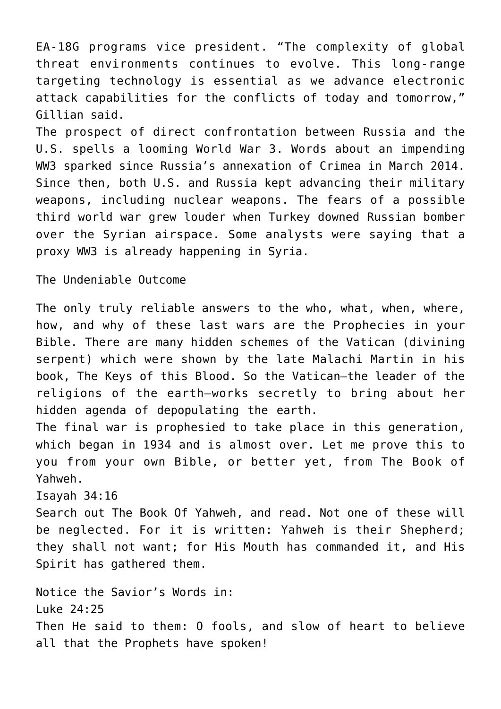EA-18G programs vice president. "The complexity of global threat environments continues to evolve. This long-range targeting technology is essential as we advance electronic attack capabilities for the conflicts of today and tomorrow," Gillian said.

The prospect of direct confrontation between Russia and the U.S. spells a looming World War 3. Words about an impending WW3 sparked since Russia's annexation of Crimea in March 2014. Since then, both U.S. and Russia kept advancing their military weapons, including nuclear weapons. The fears of a possible third world war grew louder when Turkey downed Russian bomber over the Syrian airspace. Some analysts were saying that a proxy WW3 is already happening in Syria.

The Undeniable Outcome

The only truly reliable answers to the who, what, when, where, how, and why of these last wars are the Prophecies in your Bible. There are many hidden schemes of the Vatican (divining serpent) which were shown by the late Malachi Martin in his book, The Keys of this Blood. So the Vatican–the leader of the religions of the earth–works secretly to bring about her hidden agenda of depopulating the earth.

The final war is prophesied to take place in this generation, which began in 1934 and is almost over. Let me prove this to you from your own Bible, or better yet, from The Book of Yahweh.

Isayah 34:16

Search out The Book Of Yahweh, and read. Not one of these will be neglected. For it is written: Yahweh is their Shepherd; they shall not want; for His Mouth has commanded it, and His Spirit has gathered them.

Notice the Savior's Words in: Luke 24:25 Then He said to them: O fools, and slow of heart to believe all that the Prophets have spoken!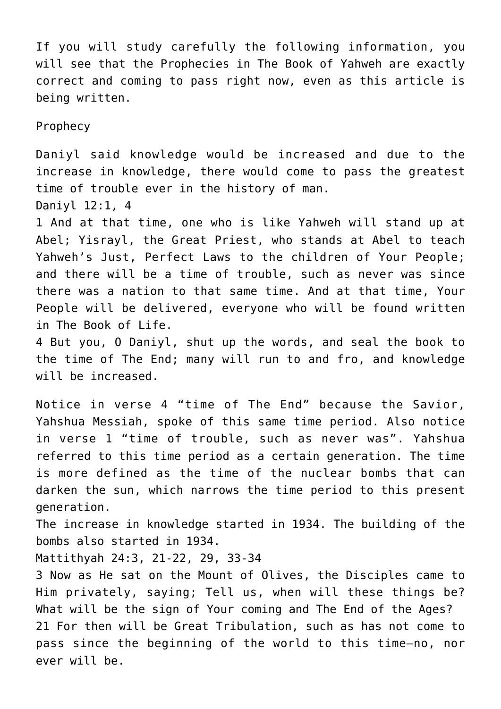If you will study carefully the following information, you will see that the Prophecies in The Book of Yahweh are exactly correct and coming to pass right now, even as this article is being written.

Prophecy

Daniyl said knowledge would be increased and due to the increase in knowledge, there would come to pass the greatest time of trouble ever in the history of man.

Daniyl 12:1, 4

1 And at that time, one who is like Yahweh will stand up at Abel; Yisrayl, the Great Priest, who stands at Abel to teach Yahweh's Just, Perfect Laws to the children of Your People; and there will be a time of trouble, such as never was since there was a nation to that same time. And at that time, Your People will be delivered, everyone who will be found written in The Book of Life.

4 But you, O Daniyl, shut up the words, and seal the book to the time of The End; many will run to and fro, and knowledge will be increased.

Notice in verse 4 "time of The End" because the Savior, Yahshua Messiah, spoke of this same time period. Also notice in verse 1 "time of trouble, such as never was". Yahshua referred to this time period as a certain generation. The time is more defined as the time of the nuclear bombs that can darken the sun, which narrows the time period to this present generation.

The increase in knowledge started in 1934. The building of the bombs also started in 1934.

Mattithyah 24:3, 21-22, 29, 33-34

3 Now as He sat on the Mount of Olives, the Disciples came to Him privately, saying; Tell us, when will these things be? What will be the sign of Your coming and The End of the Ages? 21 For then will be Great Tribulation, such as has not come to pass since the beginning of the world to this time—no, nor ever will be.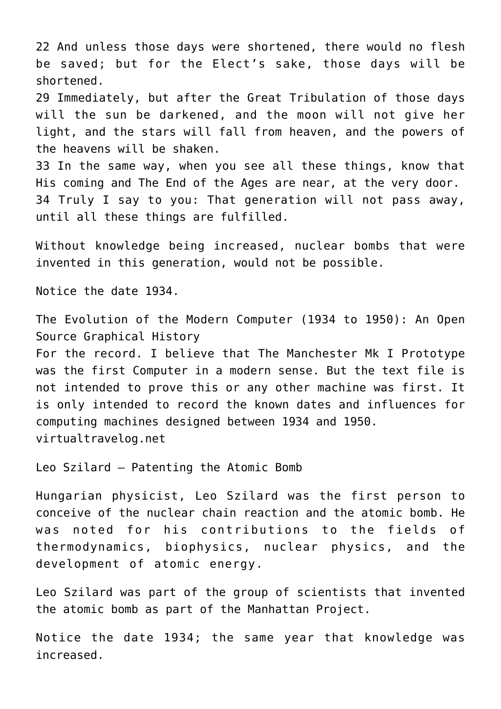22 And unless those days were shortened, there would no flesh be saved; but for the Elect's sake, those days will be shortened.

29 Immediately, but after the Great Tribulation of those days will the sun be darkened, and the moon will not give her light, and the stars will fall from heaven, and the powers of the heavens will be shaken.

33 In the same way, when you see all these things, know that His coming and The End of the Ages are near, at the very door. 34 Truly I say to you: That generation will not pass away, until all these things are fulfilled.

Without knowledge being increased, nuclear bombs that were invented in this generation, would not be possible.

Notice the date 1934.

The Evolution of the Modern Computer (1934 to 1950): An Open Source Graphical History

For the record. I believe that The Manchester Mk I Prototype was the first Computer in a modern sense. But the text file is not intended to prove this or any other machine was first. It is only intended to record the known dates and influences for computing machines designed between 1934 and 1950. virtualtravelog.net

Leo Szilard – Patenting the Atomic Bomb

Hungarian physicist, Leo Szilard was the first person to conceive of the nuclear chain reaction and the atomic bomb. He was noted for his contributions to the fields of thermodynamics, biophysics, nuclear physics, and the development of atomic energy.

Leo Szilard was part of the group of scientists that invented the atomic bomb as part of the Manhattan Project.

Notice the date 1934; the same year that knowledge was increased.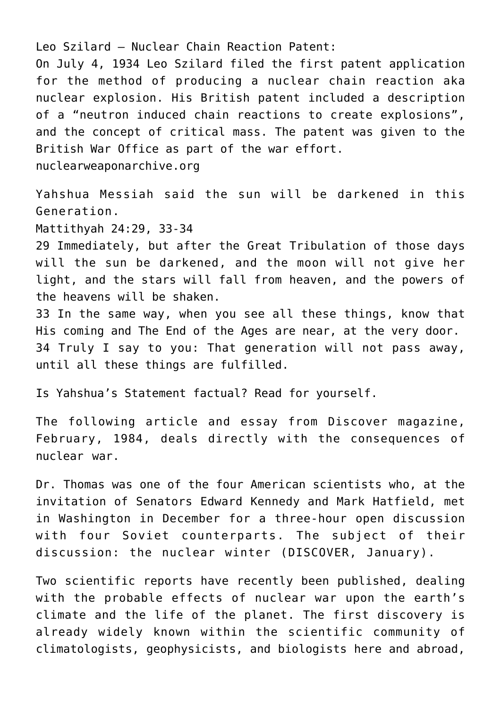Leo Szilard – Nuclear Chain Reaction Patent:

On July 4, 1934 Leo Szilard filed the first patent application for the method of producing a nuclear chain reaction aka nuclear explosion. His British patent included a description of a "neutron induced chain reactions to create explosions", and the concept of critical mass. The patent was given to the British War Office as part of the war effort. nuclearweaponarchive.org

Yahshua Messiah said the sun will be darkened in this Generation. Mattithyah 24:29, 33-34 29 Immediately, but after the Great Tribulation of those days

will the sun be darkened, and the moon will not give her light, and the stars will fall from heaven, and the powers of the heavens will be shaken.

33 In the same way, when you see all these things, know that His coming and The End of the Ages are near, at the very door. 34 Truly I say to you: That generation will not pass away, until all these things are fulfilled.

Is Yahshua's Statement factual? Read for yourself.

The following article and essay from Discover magazine, February, 1984, deals directly with the consequences of nuclear war.

Dr. Thomas was one of the four American scientists who, at the invitation of Senators Edward Kennedy and Mark Hatfield, met in Washington in December for a three-hour open discussion with four Soviet counterparts. The subject of their discussion: the nuclear winter (DISCOVER, January).

Two scientific reports have recently been published, dealing with the probable effects of nuclear war upon the earth's climate and the life of the planet. The first discovery is already widely known within the scientific community of climatologists, geophysicists, and biologists here and abroad,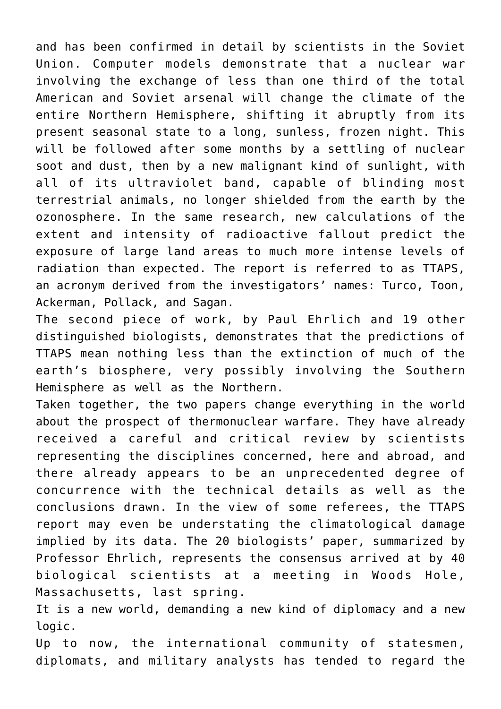and has been confirmed in detail by scientists in the Soviet Union. Computer models demonstrate that a nuclear war involving the exchange of less than one third of the total American and Soviet arsenal will change the climate of the entire Northern Hemisphere, shifting it abruptly from its present seasonal state to a long, sunless, frozen night. This will be followed after some months by a settling of nuclear soot and dust, then by a new malignant kind of sunlight, with all of its ultraviolet band, capable of blinding most terrestrial animals, no longer shielded from the earth by the ozonosphere. In the same research, new calculations of the extent and intensity of radioactive fallout predict the exposure of large land areas to much more intense levels of radiation than expected. The report is referred to as TTAPS, an acronym derived from the investigators' names: Turco, Toon, Ackerman, Pollack, and Sagan.

The second piece of work, by Paul Ehrlich and 19 other distinguished biologists, demonstrates that the predictions of TTAPS mean nothing less than the extinction of much of the earth's biosphere, very possibly involving the Southern Hemisphere as well as the Northern.

Taken together, the two papers change everything in the world about the prospect of thermonuclear warfare. They have already received a careful and critical review by scientists representing the disciplines concerned, here and abroad, and there already appears to be an unprecedented degree of concurrence with the technical details as well as the conclusions drawn. In the view of some referees, the TTAPS report may even be understating the climatological damage implied by its data. The 20 biologists' paper, summarized by Professor Ehrlich, represents the consensus arrived at by 40 biological scientists at a meeting in Woods Hole, Massachusetts, last spring.

It is a new world, demanding a new kind of diplomacy and a new logic.

Up to now, the international community of statesmen, diplomats, and military analysts has tended to regard the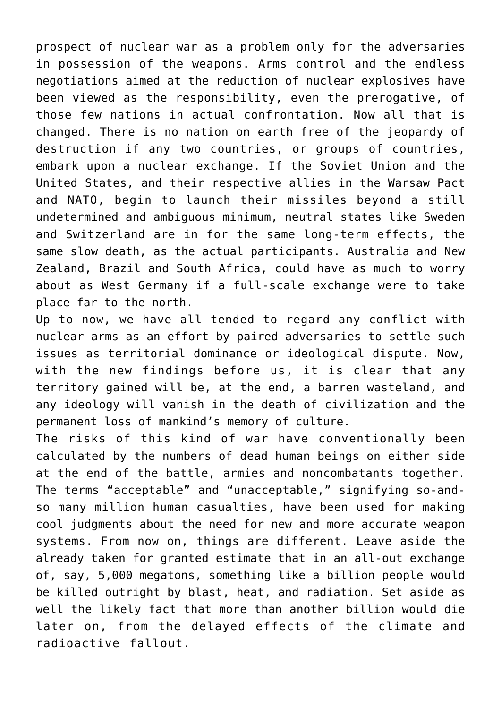prospect of nuclear war as a problem only for the adversaries in possession of the weapons. Arms control and the endless negotiations aimed at the reduction of nuclear explosives have been viewed as the responsibility, even the prerogative, of those few nations in actual confrontation. Now all that is changed. There is no nation on earth free of the jeopardy of destruction if any two countries, or groups of countries, embark upon a nuclear exchange. If the Soviet Union and the United States, and their respective allies in the Warsaw Pact and NATO, begin to launch their missiles beyond a still undetermined and ambiguous minimum, neutral states like Sweden and Switzerland are in for the same long-term effects, the same slow death, as the actual participants. Australia and New Zealand, Brazil and South Africa, could have as much to worry about as West Germany if a full-scale exchange were to take place far to the north.

Up to now, we have all tended to regard any conflict with nuclear arms as an effort by paired adversaries to settle such issues as territorial dominance or ideological dispute. Now, with the new findings before us, it is clear that any territory gained will be, at the end, a barren wasteland, and any ideology will vanish in the death of civilization and the permanent loss of mankind's memory of culture.

The risks of this kind of war have conventionally been calculated by the numbers of dead human beings on either side at the end of the battle, armies and noncombatants together. The terms "acceptable" and "unacceptable," signifying so-andso many million human casualties, have been used for making cool judgments about the need for new and more accurate weapon systems. From now on, things are different. Leave aside the already taken for granted estimate that in an all-out exchange of, say, 5,000 megatons, something like a billion people would be killed outright by blast, heat, and radiation. Set aside as well the likely fact that more than another billion would die later on, from the delayed effects of the climate and radioactive fallout.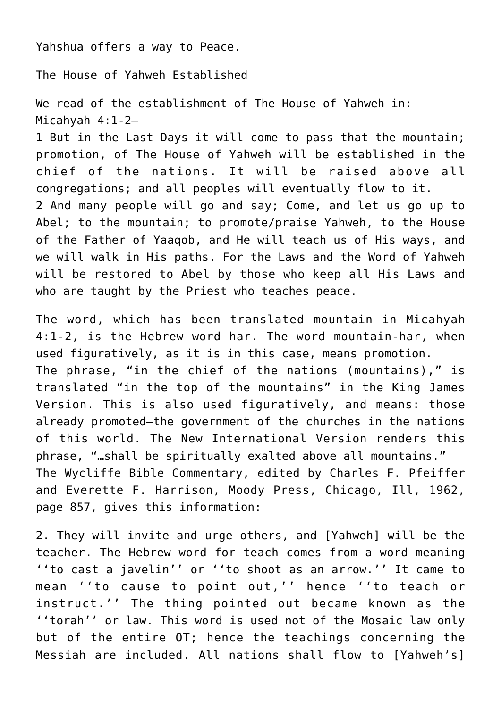Yahshua offers a way to Peace.

The House of Yahweh Established

We read of the establishment of The House of Yahweh in: Micahyah 4:1-2—

1 But in the Last Days it will come to pass that the mountain; promotion, of The House of Yahweh will be established in the chief of the nations. It will be raised above all congregations; and all peoples will eventually flow to it. 2 And many people will go and say; Come, and let us go up to Abel; to the mountain; to promote/praise Yahweh, to the House of the Father of Yaaqob, and He will teach us of His ways, and we will walk in His paths. For the Laws and the Word of Yahweh will be restored to Abel by those who keep all His Laws and who are taught by the Priest who teaches peace.

The word, which has been translated mountain in Micahyah 4:1-2, is the Hebrew word har. The word mountain-har, when used figuratively, as it is in this case, means promotion. The phrase, "in the chief of the nations (mountains)," is translated "in the top of the mountains" in the King James Version. This is also used figuratively, and means: those already promoted—the government of the churches in the nations of this world. The New International Version renders this phrase, "…shall be spiritually exalted above all mountains." The Wycliffe Bible Commentary, edited by Charles F. Pfeiffer and Everette F. Harrison, Moody Press, Chicago, Ill, 1962, page 857, gives this information:

2. They will invite and urge others, and [Yahweh] will be the teacher. The Hebrew word for teach comes from a word meaning ''to cast a javelin'' or ''to shoot as an arrow.'' It came to mean ''to cause to point out,'' hence ''to teach or instruct.'' The thing pointed out became known as the ''torah'' or law. This word is used not of the Mosaic law only but of the entire OT; hence the teachings concerning the Messiah are included. All nations shall flow to [Yahweh's]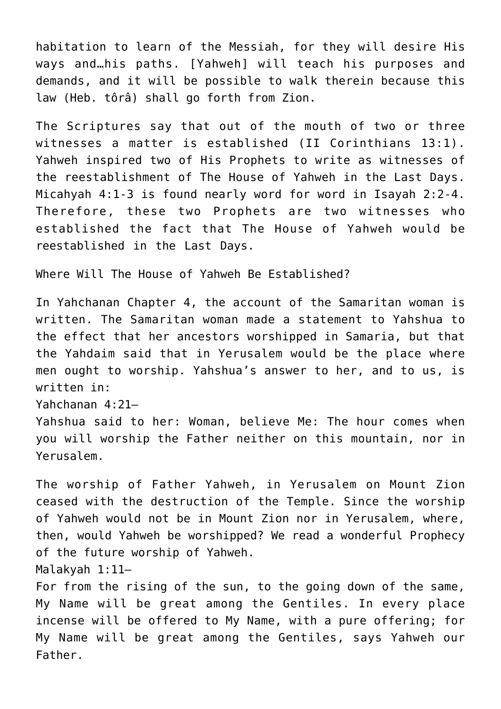habitation to learn of the Messiah, for they will desire His ways and…his paths. [Yahweh] will teach his purposes and demands, and it will be possible to walk therein because this law (Heb. tôrâ) shall go forth from Zion.

The Scriptures say that out of the mouth of two or three witnesses a matter is established (II Corinthians 13:1). Yahweh inspired two of His Prophets to write as witnesses of the reestablishment of The House of Yahweh in the Last Days. Micahyah 4:1-3 is found nearly word for word in Isayah 2:2-4. Therefore, these two Prophets are two witnesses who established the fact that The House of Yahweh would be reestablished in the Last Days.

Where Will The House of Yahweh Be Established?

In Yahchanan Chapter 4, the account of the Samaritan woman is written. The Samaritan woman made a statement to Yahshua to the effect that her ancestors worshipped in Samaria, but that the Yahdaim said that in Yerusalem would be the place where men ought to worship. Yahshua's answer to her, and to us, is written in:

Yahchanan 4:21—

Yahshua said to her: Woman, believe Me: The hour comes when you will worship the Father neither on this mountain, nor in Yerusalem.

The worship of Father Yahweh, in Yerusalem on Mount Zion ceased with the destruction of the Temple. Since the worship of Yahweh would not be in Mount Zion nor in Yerusalem, where, then, would Yahweh be worshipped? We read a wonderful Prophecy of the future worship of Yahweh.

Malakyah 1:11—

For from the rising of the sun, to the going down of the same, My Name will be great among the Gentiles. In every place incense will be offered to My Name, with a pure offering; for My Name will be great among the Gentiles, says Yahweh our Father.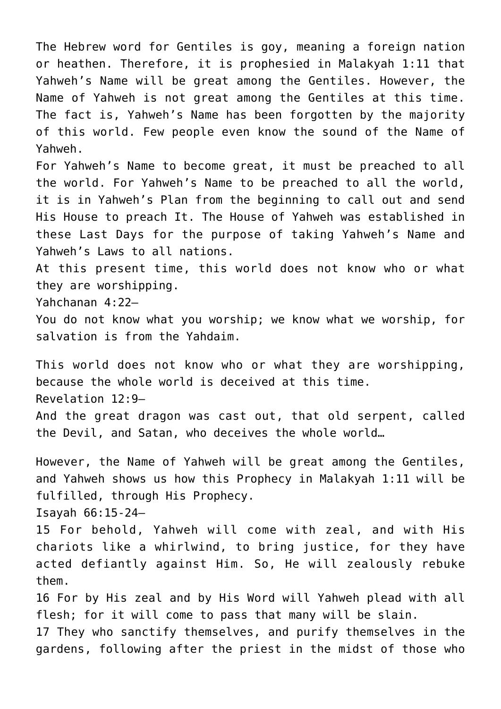The Hebrew word for Gentiles is goy, meaning a foreign nation or heathen. Therefore, it is prophesied in Malakyah 1:11 that Yahweh's Name will be great among the Gentiles. However, the Name of Yahweh is not great among the Gentiles at this time. The fact is, Yahweh's Name has been forgotten by the majority of this world. Few people even know the sound of the Name of Yahweh.

For Yahweh's Name to become great, it must be preached to all the world. For Yahweh's Name to be preached to all the world, it is in Yahweh's Plan from the beginning to call out and send His House to preach It. The House of Yahweh was established in these Last Days for the purpose of taking Yahweh's Name and Yahweh's Laws to all nations.

At this present time, this world does not know who or what they are worshipping.

Yahchanan 4:22—

You do not know what you worship; we know what we worship, for salvation is from the Yahdaim.

This world does not know who or what they are worshipping, because the whole world is deceived at this time. Revelation 12:9—

And the great dragon was cast out, that old serpent, called the Devil, and Satan, who deceives the whole world…

However, the Name of Yahweh will be great among the Gentiles, and Yahweh shows us how this Prophecy in Malakyah 1:11 will be fulfilled, through His Prophecy.

Isayah 66:15-24—

15 For behold, Yahweh will come with zeal, and with His chariots like a whirlwind, to bring justice, for they have acted defiantly against Him. So, He will zealously rebuke them.

16 For by His zeal and by His Word will Yahweh plead with all flesh; for it will come to pass that many will be slain.

17 They who sanctify themselves, and purify themselves in the gardens, following after the priest in the midst of those who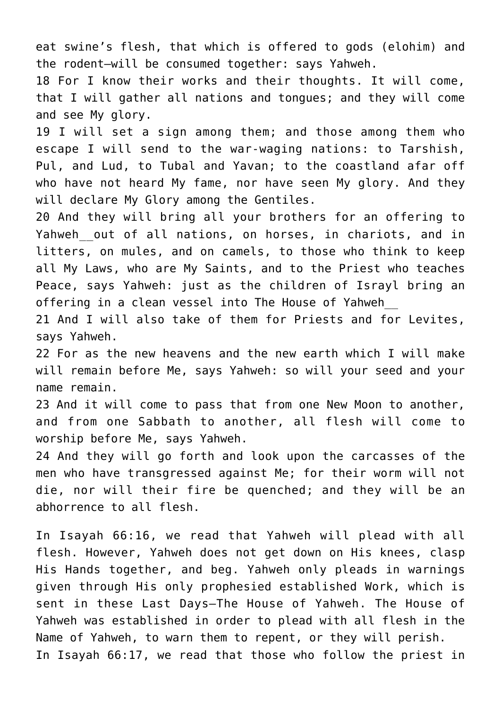eat swine's flesh, that which is offered to gods (elohim) and the rodent—will be consumed together: says Yahweh.

18 For I know their works and their thoughts. It will come, that I will gather all nations and tongues; and they will come and see My glory.

19 I will set a sign among them; and those among them who escape I will send to the war-waging nations: to Tarshish, Pul, and Lud, to Tubal and Yavan; to the coastland afar off who have not heard My fame, nor have seen My glory. And they will declare My Glory among the Gentiles.

20 And they will bring all your brothers for an offering to Yahweh out of all nations, on horses, in chariots, and in litters, on mules, and on camels, to those who think to keep all My Laws, who are My Saints, and to the Priest who teaches Peace, says Yahweh: just as the children of Israyl bring an offering in a clean vessel into The House of Yahweh

21 And I will also take of them for Priests and for Levites, says Yahweh.

22 For as the new heavens and the new earth which I will make will remain before Me, says Yahweh: so will your seed and your name remain.

23 And it will come to pass that from one New Moon to another, and from one Sabbath to another, all flesh will come to worship before Me, says Yahweh.

24 And they will go forth and look upon the carcasses of the men who have transgressed against Me; for their worm will not die, nor will their fire be quenched; and they will be an abhorrence to all flesh.

In Isayah 66:16, we read that Yahweh will plead with all flesh. However, Yahweh does not get down on His knees, clasp His Hands together, and beg. Yahweh only pleads in warnings given through His only prophesied established Work, which is sent in these Last Days—The House of Yahweh. The House of Yahweh was established in order to plead with all flesh in the Name of Yahweh, to warn them to repent, or they will perish. In Isayah 66:17, we read that those who follow the priest in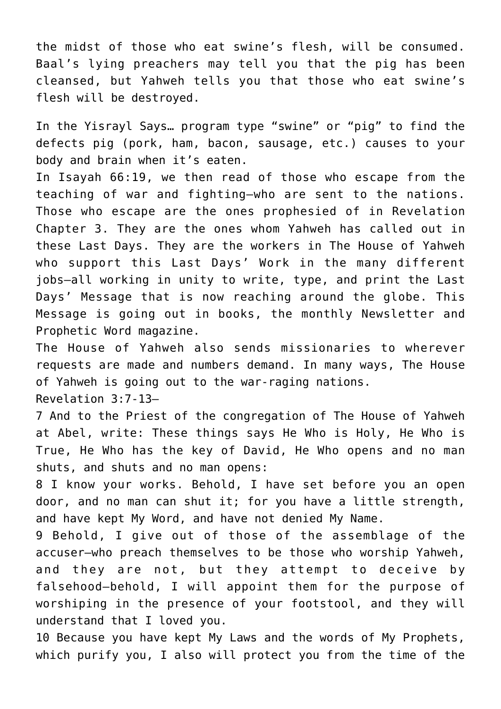the midst of those who eat swine's flesh, will be consumed. Baal's lying preachers may tell you that the pig has been cleansed, but Yahweh tells you that those who eat swine's flesh will be destroyed.

In the Yisrayl Says… program type "swine" or "pig" to find the defects pig (pork, ham, bacon, sausage, etc.) causes to your body and brain when it's eaten.

In Isayah 66:19, we then read of those who escape from the teaching of war and fighting–who are sent to the nations. Those who escape are the ones prophesied of in Revelation Chapter 3. They are the ones whom Yahweh has called out in these Last Days. They are the workers in The House of Yahweh who support this Last Days' Work in the many different jobs–all working in unity to write, type, and print the Last Days' Message that is now reaching around the globe. This Message is going out in books, the monthly Newsletter and Prophetic Word magazine.

The House of Yahweh also sends missionaries to wherever requests are made and numbers demand. In many ways, The House of Yahweh is going out to the war-raging nations.

Revelation 3:7-13—

7 And to the Priest of the congregation of The House of Yahweh at Abel, write: These things says He Who is Holy, He Who is True, He Who has the key of David, He Who opens and no man shuts, and shuts and no man opens:

8 I know your works. Behold, I have set before you an open door, and no man can shut it; for you have a little strength, and have kept My Word, and have not denied My Name.

9 Behold, I give out of those of the assemblage of the accuser–who preach themselves to be those who worship Yahweh, and they are not, but they attempt to deceive by falsehood–behold, I will appoint them for the purpose of worshiping in the presence of your footstool, and they will understand that I loved you.

10 Because you have kept My Laws and the words of My Prophets, which purify you, I also will protect you from the time of the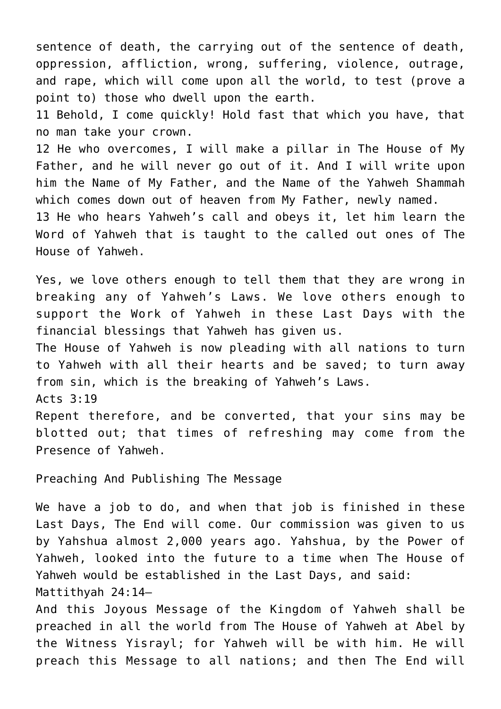sentence of death, the carrying out of the sentence of death, oppression, affliction, wrong, suffering, violence, outrage, and rape, which will come upon all the world, to test (prove a point to) those who dwell upon the earth.

11 Behold, I come quickly! Hold fast that which you have, that no man take your crown.

12 He who overcomes, I will make a pillar in The House of My Father, and he will never go out of it. And I will write upon him the Name of My Father, and the Name of the Yahweh Shammah which comes down out of heaven from My Father, newly named.

13 He who hears Yahweh's call and obeys it, let him learn the Word of Yahweh that is taught to the called out ones of The House of Yahweh.

Yes, we love others enough to tell them that they are wrong in breaking any of Yahweh's Laws. We love others enough to support the Work of Yahweh in these Last Days with the financial blessings that Yahweh has given us.

The House of Yahweh is now pleading with all nations to turn to Yahweh with all their hearts and be saved; to turn away from sin, which is the breaking of Yahweh's Laws.

Acts 3:19 Repent therefore, and be converted, that your sins may be blotted out; that times of refreshing may come from the Presence of Yahweh.

Preaching And Publishing The Message

We have a job to do, and when that job is finished in these Last Days, The End will come. Our commission was given to us by Yahshua almost 2,000 years ago. Yahshua, by the Power of Yahweh, looked into the future to a time when The House of Yahweh would be established in the Last Days, and said: Mattithyah 24:14—

And this Joyous Message of the Kingdom of Yahweh shall be preached in all the world from The House of Yahweh at Abel by the Witness Yisrayl; for Yahweh will be with him. He will preach this Message to all nations; and then The End will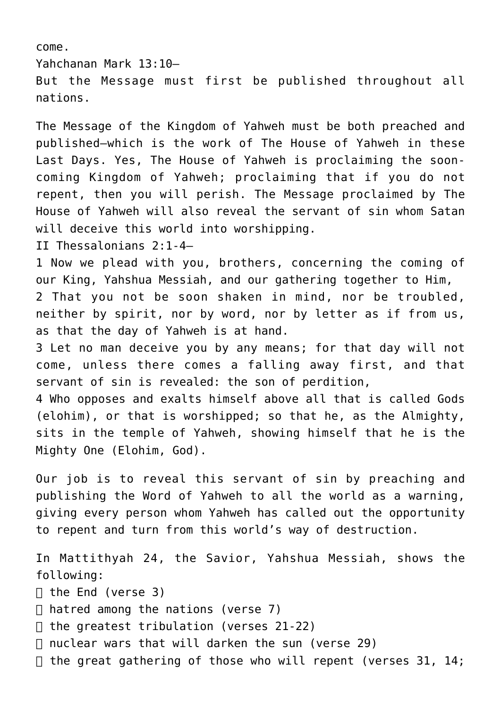come.

Yahchanan Mark 13:10— But the Message must first be published throughout all nations.

The Message of the Kingdom of Yahweh must be both preached and published—which is the work of The House of Yahweh in these Last Days. Yes, The House of Yahweh is proclaiming the sooncoming Kingdom of Yahweh; proclaiming that if you do not repent, then you will perish. The Message proclaimed by The House of Yahweh will also reveal the servant of sin whom Satan will deceive this world into worshipping.

II Thessalonians 2:1-4—

1 Now we plead with you, brothers, concerning the coming of our King, Yahshua Messiah, and our gathering together to Him, 2 That you not be soon shaken in mind, nor be troubled, neither by spirit, nor by word, nor by letter as if from us, as that the day of Yahweh is at hand.

3 Let no man deceive you by any means; for that day will not come, unless there comes a falling away first, and that servant of sin is revealed: the son of perdition,

4 Who opposes and exalts himself above all that is called Gods (elohim), or that is worshipped; so that he, as the Almighty, sits in the temple of Yahweh, showing himself that he is the Mighty One (Elohim, God).

Our job is to reveal this servant of sin by preaching and publishing the Word of Yahweh to all the world as a warning, giving every person whom Yahweh has called out the opportunity to repent and turn from this world's way of destruction.

In Mattithyah 24, the Savior, Yahshua Messiah, shows the following:

 $\Box$  the End (verse 3)

 $\Box$  hatred among the nations (verse 7)

 $\Box$  the greatest tribulation (verses 21-22)

 $\Box$  nuclear wars that will darken the sun (verse 29)

 $\Box$  the great gathering of those who will repent (verses 31, 14;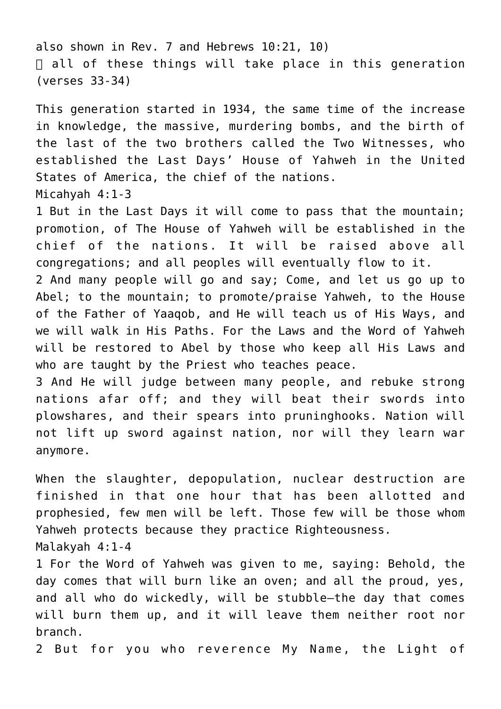also shown in Rev. 7 and Hebrews 10:21, 10) all of these things will take place in this generation (verses 33-34)

This generation started in 1934, the same time of the increase in knowledge, the massive, murdering bombs, and the birth of the last of the two brothers called the Two Witnesses, who established the Last Days' House of Yahweh in the United States of America, the chief of the nations. Micahyah 4:1-3

1 But in the Last Days it will come to pass that the mountain; promotion, of The House of Yahweh will be established in the chief of the nations. It will be raised above all congregations; and all peoples will eventually flow to it.

2 And many people will go and say; Come, and let us go up to Abel; to the mountain; to promote/praise Yahweh, to the House of the Father of Yaaqob, and He will teach us of His Ways, and we will walk in His Paths. For the Laws and the Word of Yahweh will be restored to Abel by those who keep all His Laws and who are taught by the Priest who teaches peace.

3 And He will judge between many people, and rebuke strong nations afar off; and they will beat their swords into plowshares, and their spears into pruninghooks. Nation will not lift up sword against nation, nor will they learn war anymore.

When the slaughter, depopulation, nuclear destruction are finished in that one hour that has been allotted and prophesied, few men will be left. Those few will be those whom Yahweh protects because they practice Righteousness. Malakyah 4:1-4

1 For the Word of Yahweh was given to me, saying: Behold, the day comes that will burn like an oven; and all the proud, yes, and all who do wickedly, will be stubble—the day that comes will burn them up, and it will leave them neither root nor branch.

2 But for you who reverence My Name, the Light of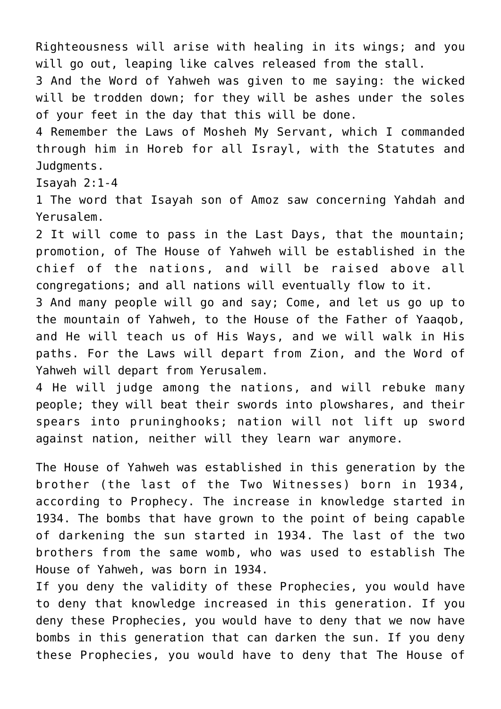Righteousness will arise with healing in its wings; and you will go out, leaping like calves released from the stall.

3 And the Word of Yahweh was given to me saying: the wicked will be trodden down; for they will be ashes under the soles of your feet in the day that this will be done.

4 Remember the Laws of Mosheh My Servant, which I commanded through him in Horeb for all Israyl, with the Statutes and Judgments.

Isayah 2:1-4

1 The word that Isayah son of Amoz saw concerning Yahdah and Yerusalem.

2 It will come to pass in the Last Days, that the mountain; promotion, of The House of Yahweh will be established in the chief of the nations, and will be raised above all congregations; and all nations will eventually flow to it.

3 And many people will go and say; Come, and let us go up to the mountain of Yahweh, to the House of the Father of Yaaqob, and He will teach us of His Ways, and we will walk in His paths. For the Laws will depart from Zion, and the Word of Yahweh will depart from Yerusalem.

4 He will judge among the nations, and will rebuke many people; they will beat their swords into plowshares, and their spears into pruninghooks; nation will not lift up sword against nation, neither will they learn war anymore.

The House of Yahweh was established in this generation by the brother (the last of the Two Witnesses) born in 1934, according to Prophecy. The increase in knowledge started in 1934. The bombs that have grown to the point of being capable of darkening the sun started in 1934. The last of the two brothers from the same womb, who was used to establish The House of Yahweh, was born in 1934.

If you deny the validity of these Prophecies, you would have to deny that knowledge increased in this generation. If you deny these Prophecies, you would have to deny that we now have bombs in this generation that can darken the sun. If you deny these Prophecies, you would have to deny that The House of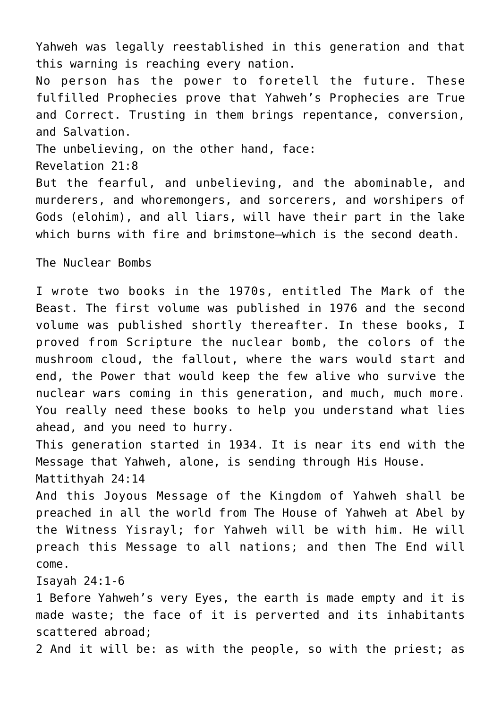Yahweh was legally reestablished in this generation and that this warning is reaching every nation. No person has the power to foretell the future. These fulfilled Prophecies prove that Yahweh's Prophecies are True and Correct. Trusting in them brings repentance, conversion, and Salvation. The unbelieving, on the other hand, face: Revelation 21:8 But the fearful, and unbelieving, and the abominable, and murderers, and whoremongers, and sorcerers, and worshipers of Gods (elohim), and all liars, will have their part in the lake which burns with fire and brimstone—which is the second death.

The Nuclear Bombs

I wrote two books in the 1970s, entitled The Mark of the Beast. The first volume was published in 1976 and the second volume was published shortly thereafter. In these books, I proved from Scripture the nuclear bomb, the colors of the mushroom cloud, the fallout, where the wars would start and end, the Power that would keep the few alive who survive the nuclear wars coming in this generation, and much, much more. You really need these books to help you understand what lies ahead, and you need to hurry.

This generation started in 1934. It is near its end with the Message that Yahweh, alone, is sending through His House. Mattithyah 24:14

And this Joyous Message of the Kingdom of Yahweh shall be preached in all the world from The House of Yahweh at Abel by the Witness Yisrayl; for Yahweh will be with him. He will preach this Message to all nations; and then The End will come.

Isayah 24:1-6

1 Before Yahweh's very Eyes, the earth is made empty and it is made waste; the face of it is perverted and its inhabitants scattered abroad;

2 And it will be: as with the people, so with the priest; as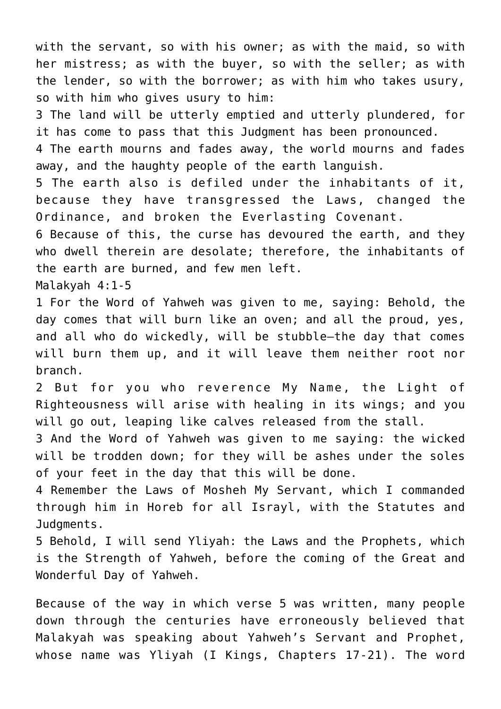with the servant, so with his owner; as with the maid, so with her mistress; as with the buyer, so with the seller; as with the lender, so with the borrower; as with him who takes usury, so with him who gives usury to him:

3 The land will be utterly emptied and utterly plundered, for it has come to pass that this Judgment has been pronounced.

4 The earth mourns and fades away, the world mourns and fades away, and the haughty people of the earth languish.

5 The earth also is defiled under the inhabitants of it, because they have transgressed the Laws, changed the Ordinance, and broken the Everlasting Covenant.

6 Because of this, the curse has devoured the earth, and they who dwell therein are desolate; therefore, the inhabitants of the earth are burned, and few men left.

Malakyah 4:1-5

1 For the Word of Yahweh was given to me, saying: Behold, the day comes that will burn like an oven; and all the proud, yes, and all who do wickedly, will be stubble—the day that comes will burn them up, and it will leave them neither root nor branch.

2 But for you who reverence My Name, the Light of Righteousness will arise with healing in its wings; and you will go out, leaping like calves released from the stall.

3 And the Word of Yahweh was given to me saying: the wicked will be trodden down; for they will be ashes under the soles of your feet in the day that this will be done.

4 Remember the Laws of Mosheh My Servant, which I commanded through him in Horeb for all Israyl, with the Statutes and Judgments.

5 Behold, I will send Yliyah: the Laws and the Prophets, which is the Strength of Yahweh, before the coming of the Great and Wonderful Day of Yahweh.

Because of the way in which verse 5 was written, many people down through the centuries have erroneously believed that Malakyah was speaking about Yahweh's Servant and Prophet, whose name was Yliyah (I Kings, Chapters 17-21). The word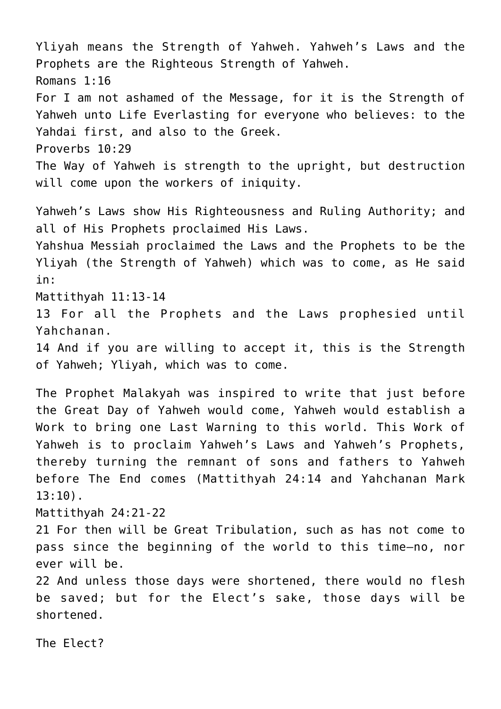Yliyah means the Strength of Yahweh. Yahweh's Laws and the Prophets are the Righteous Strength of Yahweh. Romans 1:16 For I am not ashamed of the Message, for it is the Strength of Yahweh unto Life Everlasting for everyone who believes: to the Yahdai first, and also to the Greek. Proverbs 10:29 The Way of Yahweh is strength to the upright, but destruction will come upon the workers of iniquity. Yahweh's Laws show His Righteousness and Ruling Authority; and all of His Prophets proclaimed His Laws. Yahshua Messiah proclaimed the Laws and the Prophets to be the Yliyah (the Strength of Yahweh) which was to come, as He said in: Mattithyah 11:13-14 13 For all the Prophets and the Laws prophesied until Yahchanan. 14 And if you are willing to accept it, this is the Strength of Yahweh; Yliyah, which was to come. The Prophet Malakyah was inspired to write that just before the Great Day of Yahweh would come, Yahweh would establish a Work to bring one Last Warning to this world. This Work of

Yahweh is to proclaim Yahweh's Laws and Yahweh's Prophets, thereby turning the remnant of sons and fathers to Yahweh before The End comes (Mattithyah 24:14 and Yahchanan Mark 13:10).

Mattithyah 24:21-22

21 For then will be Great Tribulation, such as has not come to pass since the beginning of the world to this time—no, nor ever will be.

22 And unless those days were shortened, there would no flesh be saved; but for the Elect's sake, those days will be shortened.

The Elect?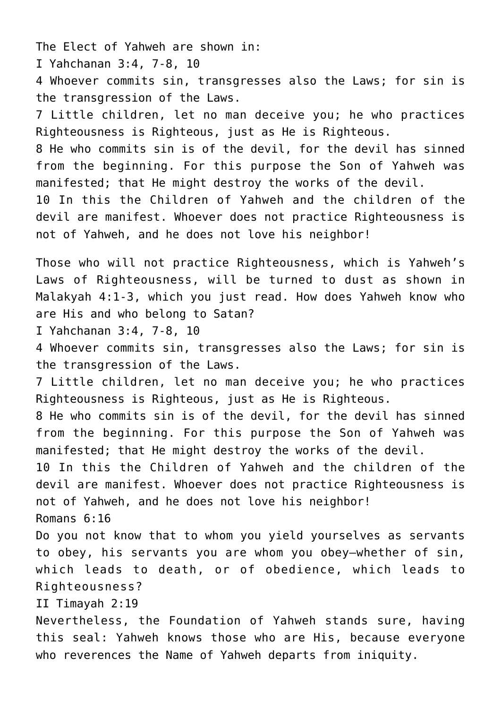The Elect of Yahweh are shown in:

I Yahchanan 3:4, 7-8, 10

4 Whoever commits sin, transgresses also the Laws; for sin is the transgression of the Laws.

7 Little children, let no man deceive you; he who practices Righteousness is Righteous, just as He is Righteous.

8 He who commits sin is of the devil, for the devil has sinned from the beginning. For this purpose the Son of Yahweh was manifested; that He might destroy the works of the devil.

10 In this the Children of Yahweh and the children of the devil are manifest. Whoever does not practice Righteousness is not of Yahweh, and he does not love his neighbor!

Those who will not practice Righteousness, which is Yahweh's Laws of Righteousness, will be turned to dust as shown in Malakyah 4:1-3, which you just read. How does Yahweh know who are His and who belong to Satan?

I Yahchanan 3:4, 7-8, 10

4 Whoever commits sin, transgresses also the Laws; for sin is the transgression of the Laws.

7 Little children, let no man deceive you; he who practices Righteousness is Righteous, just as He is Righteous.

8 He who commits sin is of the devil, for the devil has sinned from the beginning. For this purpose the Son of Yahweh was manifested; that He might destroy the works of the devil.

10 In this the Children of Yahweh and the children of the devil are manifest. Whoever does not practice Righteousness is not of Yahweh, and he does not love his neighbor!

Romans 6:16

Do you not know that to whom you yield yourselves as servants to obey, his servants you are whom you obey—whether of sin, which leads to death, or of obedience, which leads to Righteousness?

II Timayah 2:19

Nevertheless, the Foundation of Yahweh stands sure, having this seal: Yahweh knows those who are His, because everyone who reverences the Name of Yahweh departs from iniquity.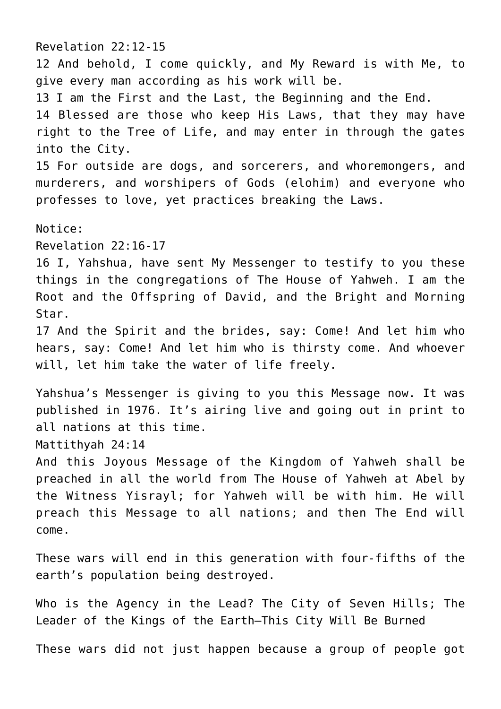Revelation 22:12-15 12 And behold, I come quickly, and My Reward is with Me, to give every man according as his work will be. 13 I am the First and the Last, the Beginning and the End. 14 Blessed are those who keep His Laws, that they may have right to the Tree of Life, and may enter in through the gates into the City. 15 For outside are dogs, and sorcerers, and whoremongers, and murderers, and worshipers of Gods (elohim) and everyone who professes to love, yet practices breaking the Laws. Notice: Revelation 22:16-17 16 I, Yahshua, have sent My Messenger to testify to you these things in the congregations of The House of Yahweh. I am the Root and the Offspring of David, and the Bright and Morning Star. 17 And the Spirit and the brides, say: Come! And let him who hears, say: Come! And let him who is thirsty come. And whoever will, let him take the water of life freely. Yahshua's Messenger is giving to you this Message now. It was published in 1976. It's airing live and going out in print to all nations at this time. Mattithyah 24:14 And this Joyous Message of the Kingdom of Yahweh shall be preached in all the world from The House of Yahweh at Abel by the Witness Yisrayl; for Yahweh will be with him. He will preach this Message to all nations; and then The End will come. These wars will end in this generation with four-fifths of the earth's population being destroyed. Who is the Agency in the Lead? The City of Seven Hills; The

These wars did not just happen because a group of people got

Leader of the Kings of the Earth—This City Will Be Burned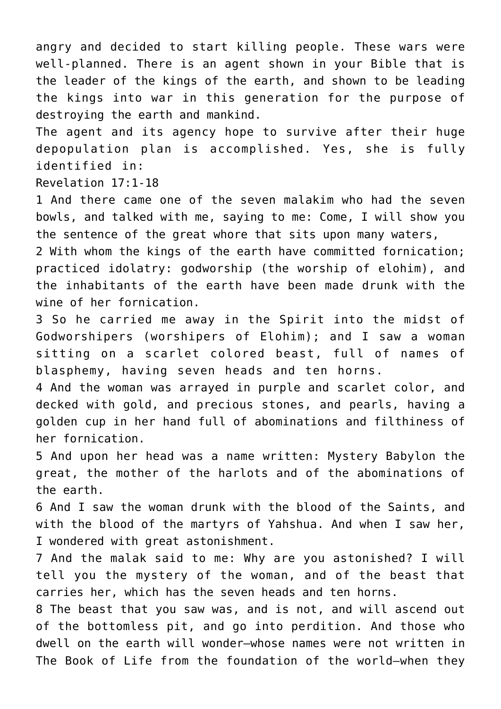angry and decided to start killing people. These wars were well-planned. There is an agent shown in your Bible that is the leader of the kings of the earth, and shown to be leading the kings into war in this generation for the purpose of destroying the earth and mankind.

The agent and its agency hope to survive after their huge depopulation plan is accomplished. Yes, she is fully identified in:

Revelation 17:1-18

1 And there came one of the seven malakim who had the seven bowls, and talked with me, saying to me: Come, I will show you the sentence of the great whore that sits upon many waters,

2 With whom the kings of the earth have committed fornication; practiced idolatry: godworship (the worship of elohim), and the inhabitants of the earth have been made drunk with the wine of her fornication.

3 So he carried me away in the Spirit into the midst of Godworshipers (worshipers of Elohim); and I saw a woman sitting on a scarlet colored beast, full of names of blasphemy, having seven heads and ten horns.

4 And the woman was arrayed in purple and scarlet color, and decked with gold, and precious stones, and pearls, having a golden cup in her hand full of abominations and filthiness of her fornication.

5 And upon her head was a name written: Mystery Babylon the great, the mother of the harlots and of the abominations of the earth.

6 And I saw the woman drunk with the blood of the Saints, and with the blood of the martyrs of Yahshua. And when I saw her, I wondered with great astonishment.

7 And the malak said to me: Why are you astonished? I will tell you the mystery of the woman, and of the beast that carries her, which has the seven heads and ten horns.

8 The beast that you saw was, and is not, and will ascend out of the bottomless pit, and go into perdition. And those who dwell on the earth will wonder—whose names were not written in The Book of Life from the foundation of the world—when they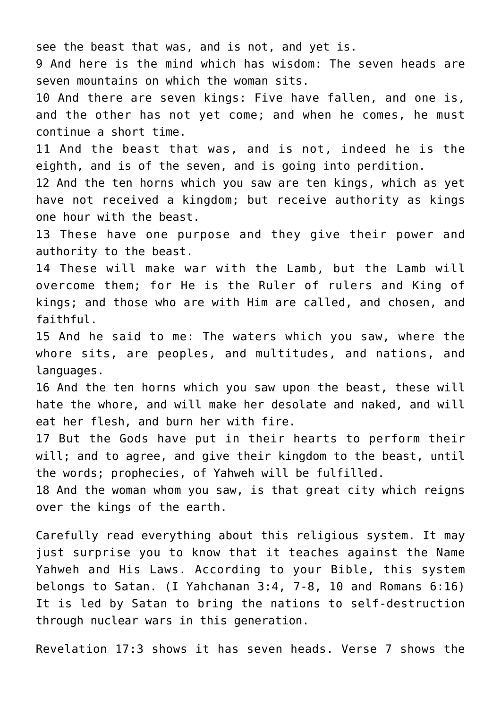see the beast that was, and is not, and yet is.

9 And here is the mind which has wisdom: The seven heads are seven mountains on which the woman sits.

10 And there are seven kings: Five have fallen, and one is, and the other has not yet come; and when he comes, he must continue a short time.

11 And the beast that was, and is not, indeed he is the eighth, and is of the seven, and is going into perdition.

12 And the ten horns which you saw are ten kings, which as yet have not received a kingdom; but receive authority as kings one hour with the beast.

13 These have one purpose and they give their power and authority to the beast.

14 These will make war with the Lamb, but the Lamb will overcome them; for He is the Ruler of rulers and King of kings; and those who are with Him are called, and chosen, and faithful.

15 And he said to me: The waters which you saw, where the whore sits, are peoples, and multitudes, and nations, and languages.

16 And the ten horns which you saw upon the beast, these will hate the whore, and will make her desolate and naked, and will eat her flesh, and burn her with fire.

17 But the Gods have put in their hearts to perform their will; and to agree, and give their kingdom to the beast, until the words; prophecies, of Yahweh will be fulfilled.

18 And the woman whom you saw, is that great city which reigns over the kings of the earth.

Carefully read everything about this religious system. It may just surprise you to know that it teaches against the Name Yahweh and His Laws. According to your Bible, this system belongs to Satan. (I Yahchanan 3:4, 7-8, 10 and Romans 6:16) It is led by Satan to bring the nations to self-destruction through nuclear wars in this generation.

Revelation 17:3 shows it has seven heads. Verse 7 shows the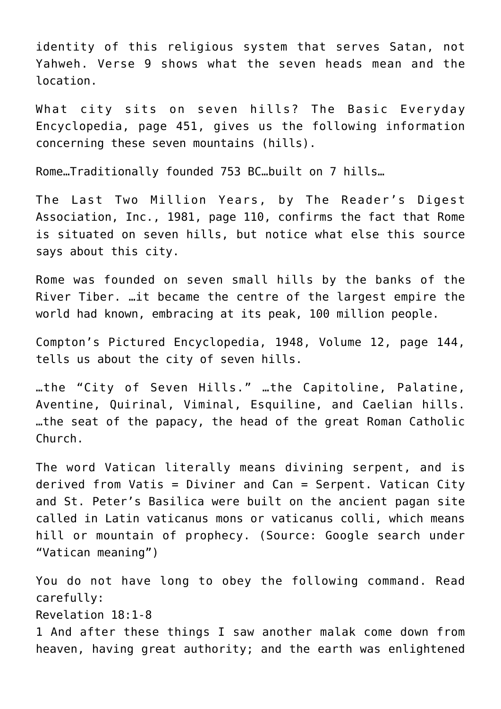identity of this religious system that serves Satan, not Yahweh. Verse 9 shows what the seven heads mean and the location.

What city sits on seven hills? The Basic Everyday Encyclopedia, page 451, gives us the following information concerning these seven mountains (hills).

Rome…Traditionally founded 753 BC…built on 7 hills…

The Last Two Million Years, by The Reader's Digest Association, Inc., 1981, page 110, confirms the fact that Rome is situated on seven hills, but notice what else this source says about this city.

Rome was founded on seven small hills by the banks of the River Tiber. …it became the centre of the largest empire the world had known, embracing at its peak, 100 million people.

Compton's Pictured Encyclopedia, 1948, Volume 12, page 144, tells us about the city of seven hills.

…the "City of Seven Hills." …the Capitoline, Palatine, Aventine, Quirinal, Viminal, Esquiline, and Caelian hills. …the seat of the papacy, the head of the great Roman Catholic Church.

The word Vatican literally means divining serpent, and is derived from Vatis = Diviner and Can = Serpent. Vatican City and St. Peter's Basilica were built on the ancient pagan site called in Latin vaticanus mons or vaticanus colli, which means hill or mountain of prophecy. (Source: Google search under "Vatican meaning")

You do not have long to obey the following command. Read carefully: Revelation 18:1-8 1 And after these things I saw another malak come down from heaven, having great authority; and the earth was enlightened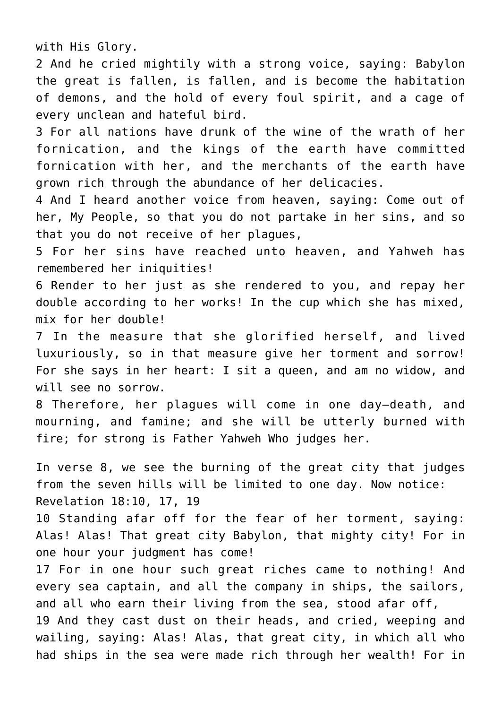with His Glory.

2 And he cried mightily with a strong voice, saying: Babylon the great is fallen, is fallen, and is become the habitation of demons, and the hold of every foul spirit, and a cage of every unclean and hateful bird.

3 For all nations have drunk of the wine of the wrath of her fornication, and the kings of the earth have committed fornication with her, and the merchants of the earth have grown rich through the abundance of her delicacies.

4 And I heard another voice from heaven, saying: Come out of her, My People, so that you do not partake in her sins, and so that you do not receive of her plagues,

5 For her sins have reached unto heaven, and Yahweh has remembered her iniquities!

6 Render to her just as she rendered to you, and repay her double according to her works! In the cup which she has mixed, mix for her double!

7 In the measure that she glorified herself, and lived luxuriously, so in that measure give her torment and sorrow! For she says in her heart: I sit a queen, and am no widow, and will see no sorrow.

8 Therefore, her plagues will come in one day–death, and mourning, and famine; and she will be utterly burned with fire; for strong is Father Yahweh Who judges her.

In verse 8, we see the burning of the great city that judges from the seven hills will be limited to one day. Now notice: Revelation 18:10, 17, 19

10 Standing afar off for the fear of her torment, saying: Alas! Alas! That great city Babylon, that mighty city! For in one hour your judgment has come!

17 For in one hour such great riches came to nothing! And every sea captain, and all the company in ships, the sailors, and all who earn their living from the sea, stood afar off, 19 And they cast dust on their heads, and cried, weeping and wailing, saying: Alas! Alas, that great city, in which all who had ships in the sea were made rich through her wealth! For in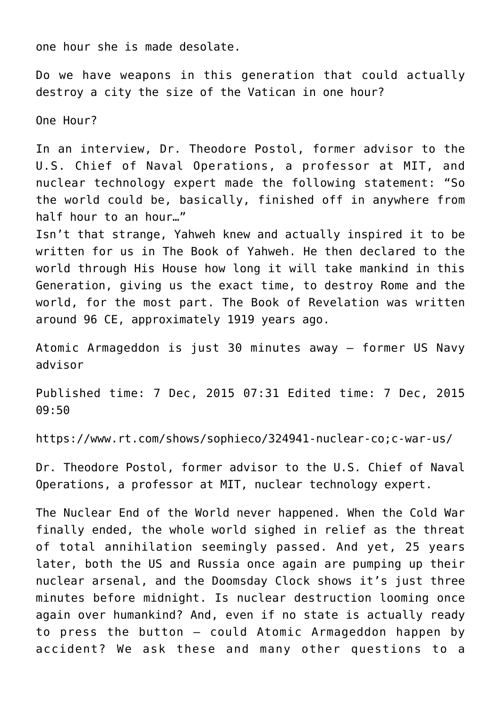one hour she is made desolate.

Do we have weapons in this generation that could actually destroy a city the size of the Vatican in one hour?

One Hour?

In an interview, Dr. Theodore Postol, former advisor to the U.S. Chief of Naval Operations, a professor at MIT, and nuclear technology expert made the following statement: "So the world could be, basically, finished off in anywhere from half hour to an hour…"

Isn't that strange, Yahweh knew and actually inspired it to be written for us in The Book of Yahweh. He then declared to the world through His House how long it will take mankind in this Generation, giving us the exact time, to destroy Rome and the world, for the most part. The Book of Revelation was written around 96 CE, approximately 1919 years ago.

Atomic Armageddon is just 30 minutes away – former US Navy advisor

Published time: 7 Dec, 2015 07:31 Edited time: 7 Dec, 2015 09:50

https://www.rt.com/shows/sophieco/324941-nuclear-co;c-war-us/

Dr. Theodore Postol, former advisor to the U.S. Chief of Naval Operations, a professor at MIT, nuclear technology expert.

The Nuclear End of the World never happened. When the Cold War finally ended, the whole world sighed in relief as the threat of total annihilation seemingly passed. And yet, 25 years later, both the US and Russia once again are pumping up their nuclear arsenal, and the Doomsday Clock shows it's just three minutes before midnight. Is nuclear destruction looming once again over humankind? And, even if no state is actually ready to press the button – could Atomic Armageddon happen by accident? We ask these and many other questions to a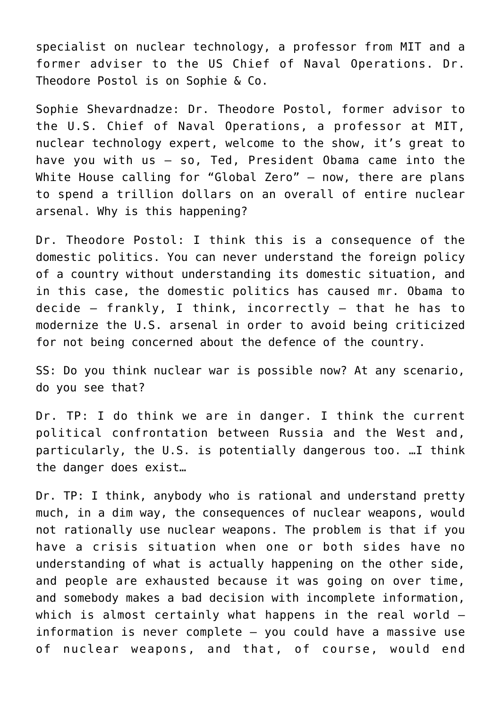specialist on nuclear technology, a professor from MIT and a former adviser to the US Chief of Naval Operations. Dr. Theodore Postol is on Sophie & Co.

Sophie Shevardnadze: Dr. Theodore Postol, former advisor to the U.S. Chief of Naval Operations, a professor at MIT, nuclear technology expert, welcome to the show, it's great to have you with us – so, Ted, President Obama came into the White House calling for "Global Zero" – now, there are plans to spend a trillion dollars on an overall of entire nuclear arsenal. Why is this happening?

Dr. Theodore Postol: I think this is a consequence of the domestic politics. You can never understand the foreign policy of a country without understanding its domestic situation, and in this case, the domestic politics has caused mr. Obama to decide – frankly, I think, incorrectly – that he has to modernize the U.S. arsenal in order to avoid being criticized for not being concerned about the defence of the country.

SS: Do you think nuclear war is possible now? At any scenario, do you see that?

Dr. TP: I do think we are in danger. I think the current political confrontation between Russia and the West and, particularly, the U.S. is potentially dangerous too. …I think the danger does exist…

Dr. TP: I think, anybody who is rational and understand pretty much, in a dim way, the consequences of nuclear weapons, would not rationally use nuclear weapons. The problem is that if you have a crisis situation when one or both sides have no understanding of what is actually happening on the other side, and people are exhausted because it was going on over time, and somebody makes a bad decision with incomplete information, which is almost certainly what happens in the real world – information is never complete – you could have a massive use of nuclear weapons, and that, of course, would end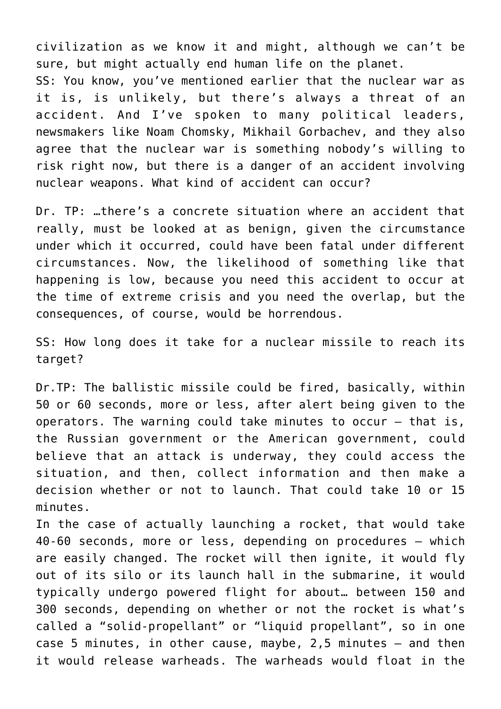civilization as we know it and might, although we can't be sure, but might actually end human life on the planet. SS: You know, you've mentioned earlier that the nuclear war as it is, is unlikely, but there's always a threat of an accident. And I've spoken to many political leaders, newsmakers like Noam Chomsky, Mikhail Gorbachev, and they also agree that the nuclear war is something nobody's willing to risk right now, but there is a danger of an accident involving nuclear weapons. What kind of accident can occur?

Dr. TP: …there's a concrete situation where an accident that really, must be looked at as benign, given the circumstance under which it occurred, could have been fatal under different circumstances. Now, the likelihood of something like that happening is low, because you need this accident to occur at the time of extreme crisis and you need the overlap, but the consequences, of course, would be horrendous.

SS: How long does it take for a nuclear missile to reach its target?

Dr.TP: The ballistic missile could be fired, basically, within 50 or 60 seconds, more or less, after alert being given to the operators. The warning could take minutes to occur – that is, the Russian government or the American government, could believe that an attack is underway, they could access the situation, and then, collect information and then make a decision whether or not to launch. That could take 10 or 15 minutes.

In the case of actually launching a rocket, that would take 40-60 seconds, more or less, depending on procedures – which are easily changed. The rocket will then ignite, it would fly out of its silo or its launch hall in the submarine, it would typically undergo powered flight for about… between 150 and 300 seconds, depending on whether or not the rocket is what's called a "solid-propellant" or "liquid propellant", so in one case 5 minutes, in other cause, maybe, 2,5 minutes – and then it would release warheads. The warheads would float in the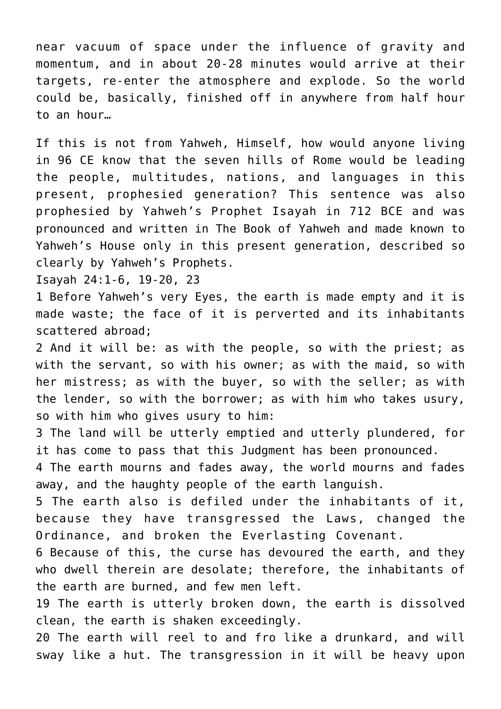near vacuum of space under the influence of gravity and momentum, and in about 20-28 minutes would arrive at their targets, re-enter the atmosphere and explode. So the world could be, basically, finished off in anywhere from half hour to an hour…

If this is not from Yahweh, Himself, how would anyone living in 96 CE know that the seven hills of Rome would be leading the people, multitudes, nations, and languages in this present, prophesied generation? This sentence was also prophesied by Yahweh's Prophet Isayah in 712 BCE and was pronounced and written in The Book of Yahweh and made known to Yahweh's House only in this present generation, described so clearly by Yahweh's Prophets.

Isayah 24:1-6, 19-20, 23

1 Before Yahweh's very Eyes, the earth is made empty and it is made waste; the face of it is perverted and its inhabitants scattered abroad;

2 And it will be: as with the people, so with the priest; as with the servant, so with his owner; as with the maid, so with her mistress; as with the buyer, so with the seller; as with the lender, so with the borrower; as with him who takes usury, so with him who gives usury to him:

3 The land will be utterly emptied and utterly plundered, for it has come to pass that this Judgment has been pronounced.

4 The earth mourns and fades away, the world mourns and fades away, and the haughty people of the earth languish.

5 The earth also is defiled under the inhabitants of it, because they have transgressed the Laws, changed the Ordinance, and broken the Everlasting Covenant.

6 Because of this, the curse has devoured the earth, and they who dwell therein are desolate; therefore, the inhabitants of the earth are burned, and few men left.

19 The earth is utterly broken down, the earth is dissolved clean, the earth is shaken exceedingly.

20 The earth will reel to and fro like a drunkard, and will sway like a hut. The transgression in it will be heavy upon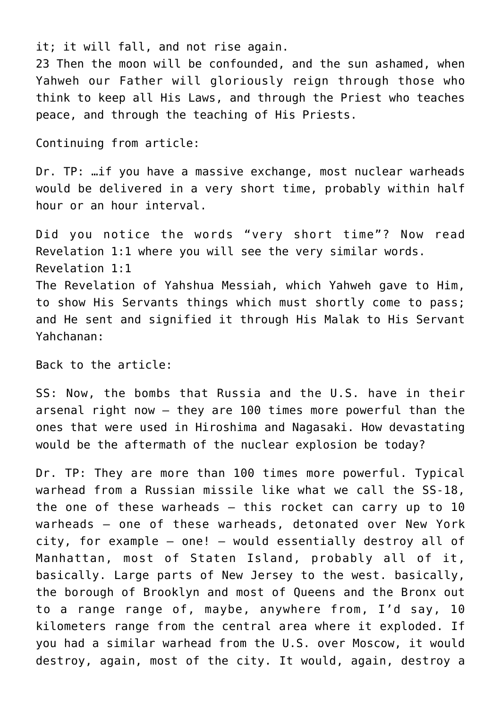it; it will fall, and not rise again.

23 Then the moon will be confounded, and the sun ashamed, when Yahweh our Father will gloriously reign through those who think to keep all His Laws, and through the Priest who teaches peace, and through the teaching of His Priests.

Continuing from article:

Dr. TP: …if you have a massive exchange, most nuclear warheads would be delivered in a very short time, probably within half hour or an hour interval.

Did you notice the words "very short time"? Now read Revelation 1:1 where you will see the very similar words. Revelation 1:1 The Revelation of Yahshua Messiah, which Yahweh gave to Him, to show His Servants things which must shortly come to pass; and He sent and signified it through His Malak to His Servant Yahchanan:

Back to the article:

SS: Now, the bombs that Russia and the U.S. have in their arsenal right now – they are 100 times more powerful than the ones that were used in Hiroshima and Nagasaki. How devastating would be the aftermath of the nuclear explosion be today?

Dr. TP: They are more than 100 times more powerful. Typical warhead from a Russian missile like what we call the SS-18, the one of these warheads – this rocket can carry up to 10 warheads – one of these warheads, detonated over New York city, for example – one! – would essentially destroy all of Manhattan, most of Staten Island, probably all of it, basically. Large parts of New Jersey to the west. basically, the borough of Brooklyn and most of Queens and the Bronx out to a range range of, maybe, anywhere from, I'd say, 10 kilometers range from the central area where it exploded. If you had a similar warhead from the U.S. over Moscow, it would destroy, again, most of the city. It would, again, destroy a